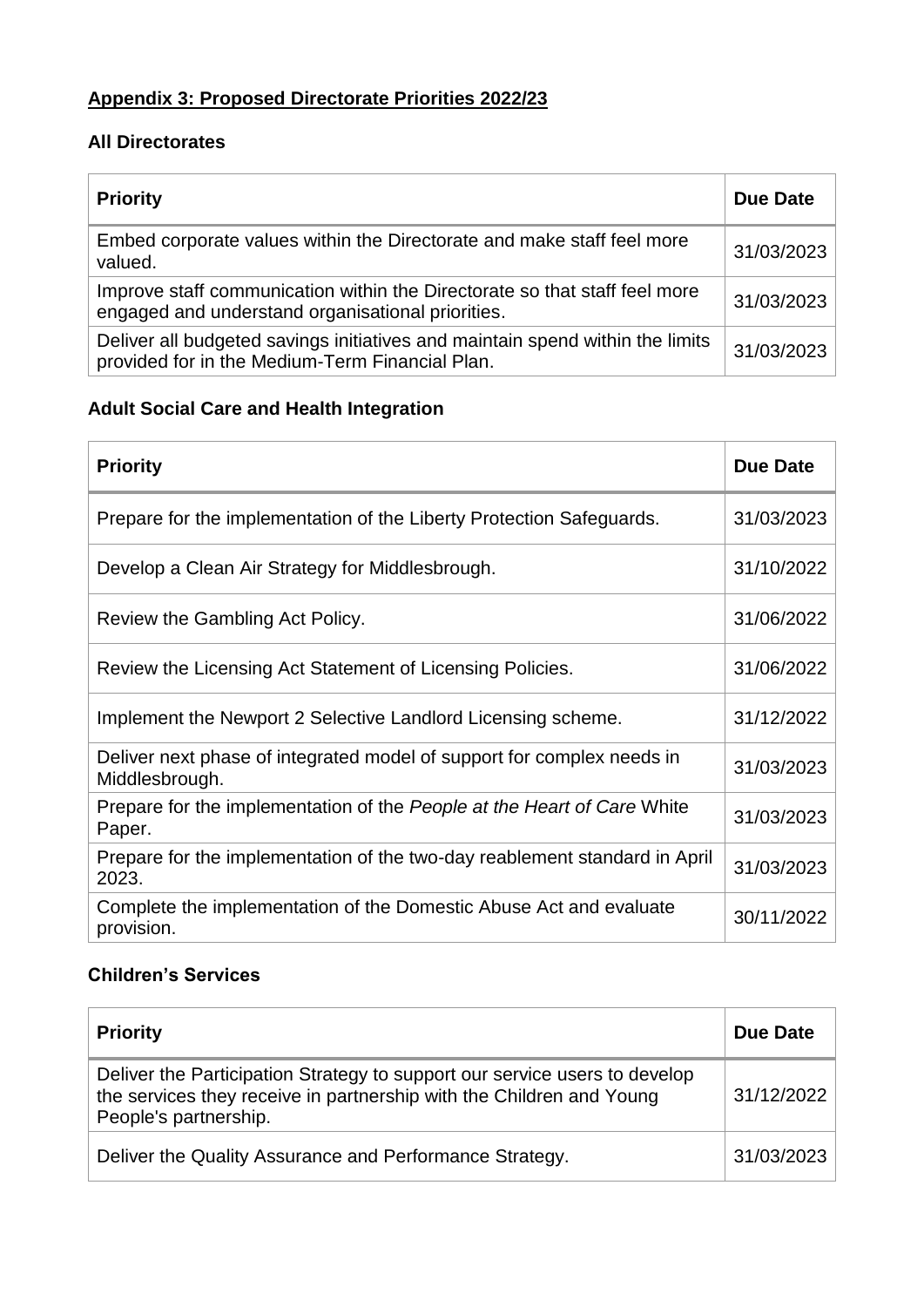## **Appendix 3: Proposed Directorate Priorities 2022/23**

#### **All Directorates**

| <b>Priority</b>                                                                                                                  | <b>Due Date</b> |
|----------------------------------------------------------------------------------------------------------------------------------|-----------------|
| Embed corporate values within the Directorate and make staff feel more<br>valued.                                                | 31/03/2023      |
| Improve staff communication within the Directorate so that staff feel more<br>engaged and understand organisational priorities.  | 31/03/2023      |
| Deliver all budgeted savings initiatives and maintain spend within the limits<br>provided for in the Medium-Term Financial Plan. | 31/03/2023      |

## **Adult Social Care and Health Integration**

| <b>Priority</b>                                                                          | Due Date   |
|------------------------------------------------------------------------------------------|------------|
| Prepare for the implementation of the Liberty Protection Safeguards.                     | 31/03/2023 |
| Develop a Clean Air Strategy for Middlesbrough.                                          | 31/10/2022 |
| Review the Gambling Act Policy.                                                          | 31/06/2022 |
| Review the Licensing Act Statement of Licensing Policies.                                | 31/06/2022 |
| Implement the Newport 2 Selective Landlord Licensing scheme.                             | 31/12/2022 |
| Deliver next phase of integrated model of support for complex needs in<br>Middlesbrough. | 31/03/2023 |
| Prepare for the implementation of the People at the Heart of Care White<br>Paper.        | 31/03/2023 |
| Prepare for the implementation of the two-day reablement standard in April<br>2023.      | 31/03/2023 |
| Complete the implementation of the Domestic Abuse Act and evaluate<br>provision.         | 30/11/2022 |

### **Children's Services**

| <b>Priority</b>                                                                                                                                                             | Due Date   |
|-----------------------------------------------------------------------------------------------------------------------------------------------------------------------------|------------|
| Deliver the Participation Strategy to support our service users to develop<br>the services they receive in partnership with the Children and Young<br>People's partnership. | 31/12/2022 |
| Deliver the Quality Assurance and Performance Strategy.                                                                                                                     | 31/03/2023 |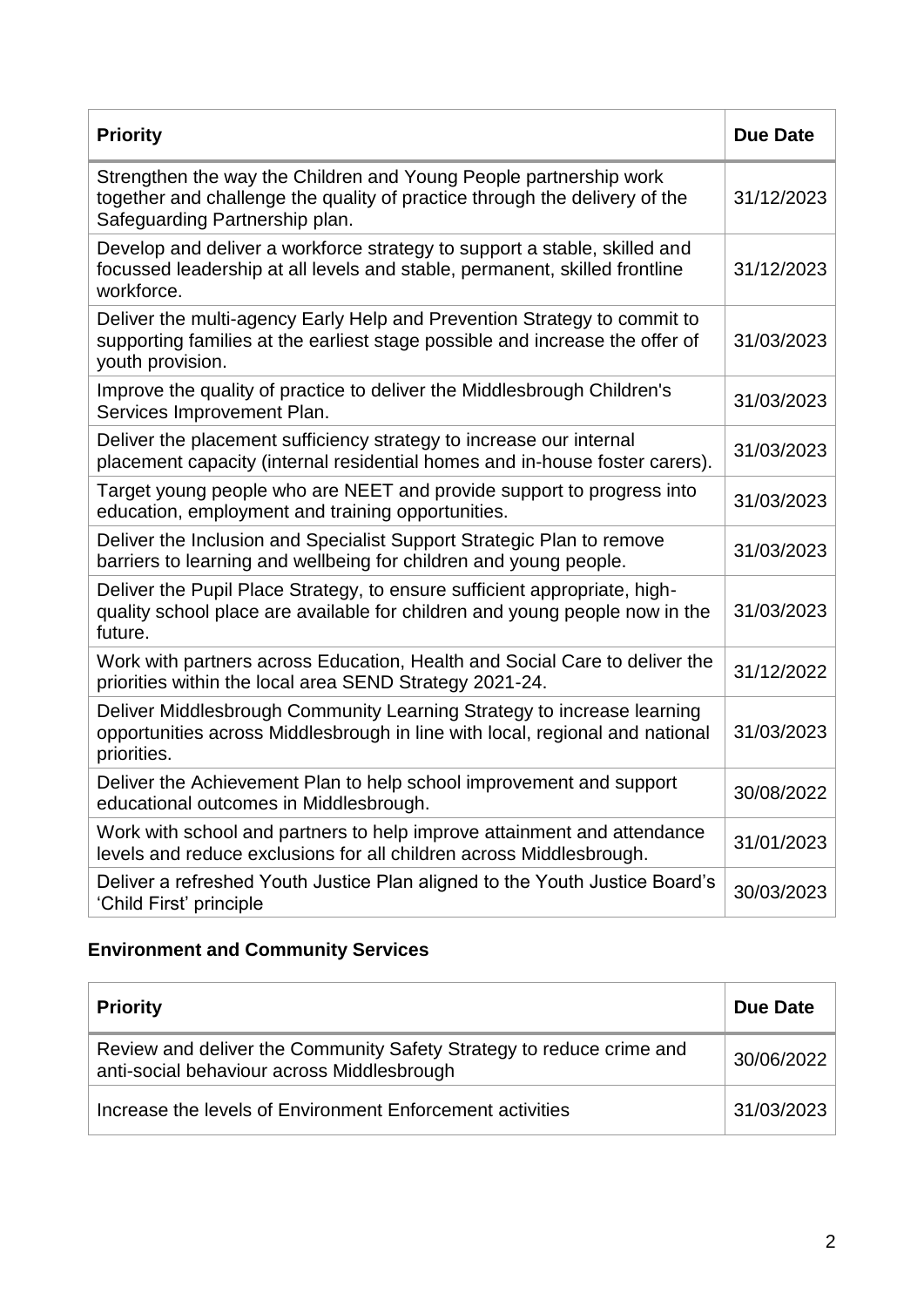| <b>Priority</b>                                                                                                                                                                   | <b>Due Date</b> |
|-----------------------------------------------------------------------------------------------------------------------------------------------------------------------------------|-----------------|
| Strengthen the way the Children and Young People partnership work<br>together and challenge the quality of practice through the delivery of the<br>Safeguarding Partnership plan. | 31/12/2023      |
| Develop and deliver a workforce strategy to support a stable, skilled and<br>focussed leadership at all levels and stable, permanent, skilled frontline<br>workforce.             | 31/12/2023      |
| Deliver the multi-agency Early Help and Prevention Strategy to commit to<br>supporting families at the earliest stage possible and increase the offer of<br>youth provision.      | 31/03/2023      |
| Improve the quality of practice to deliver the Middlesbrough Children's<br>Services Improvement Plan.                                                                             | 31/03/2023      |
| Deliver the placement sufficiency strategy to increase our internal<br>placement capacity (internal residential homes and in-house foster carers).                                | 31/03/2023      |
| Target young people who are NEET and provide support to progress into<br>education, employment and training opportunities.                                                        | 31/03/2023      |
| Deliver the Inclusion and Specialist Support Strategic Plan to remove<br>barriers to learning and wellbeing for children and young people.                                        | 31/03/2023      |
| Deliver the Pupil Place Strategy, to ensure sufficient appropriate, high-<br>quality school place are available for children and young people now in the<br>future.               | 31/03/2023      |
| Work with partners across Education, Health and Social Care to deliver the<br>priorities within the local area SEND Strategy 2021-24.                                             | 31/12/2022      |
| Deliver Middlesbrough Community Learning Strategy to increase learning<br>opportunities across Middlesbrough in line with local, regional and national<br>priorities.             | 31/03/2023      |
| Deliver the Achievement Plan to help school improvement and support<br>educational outcomes in Middlesbrough.                                                                     | 30/08/2022      |
| Work with school and partners to help improve attainment and attendance<br>levels and reduce exclusions for all children across Middlesbrough.                                    | 31/01/2023      |
| Deliver a refreshed Youth Justice Plan aligned to the Youth Justice Board's<br>'Child First' principle                                                                            | 30/03/2023      |

# **Environment and Community Services**

| <b>Priority</b>                                                                                                    | Due Date   |
|--------------------------------------------------------------------------------------------------------------------|------------|
| Review and deliver the Community Safety Strategy to reduce crime and<br>anti-social behaviour across Middlesbrough | 30/06/2022 |
| Increase the levels of Environment Enforcement activities                                                          | 31/03/2023 |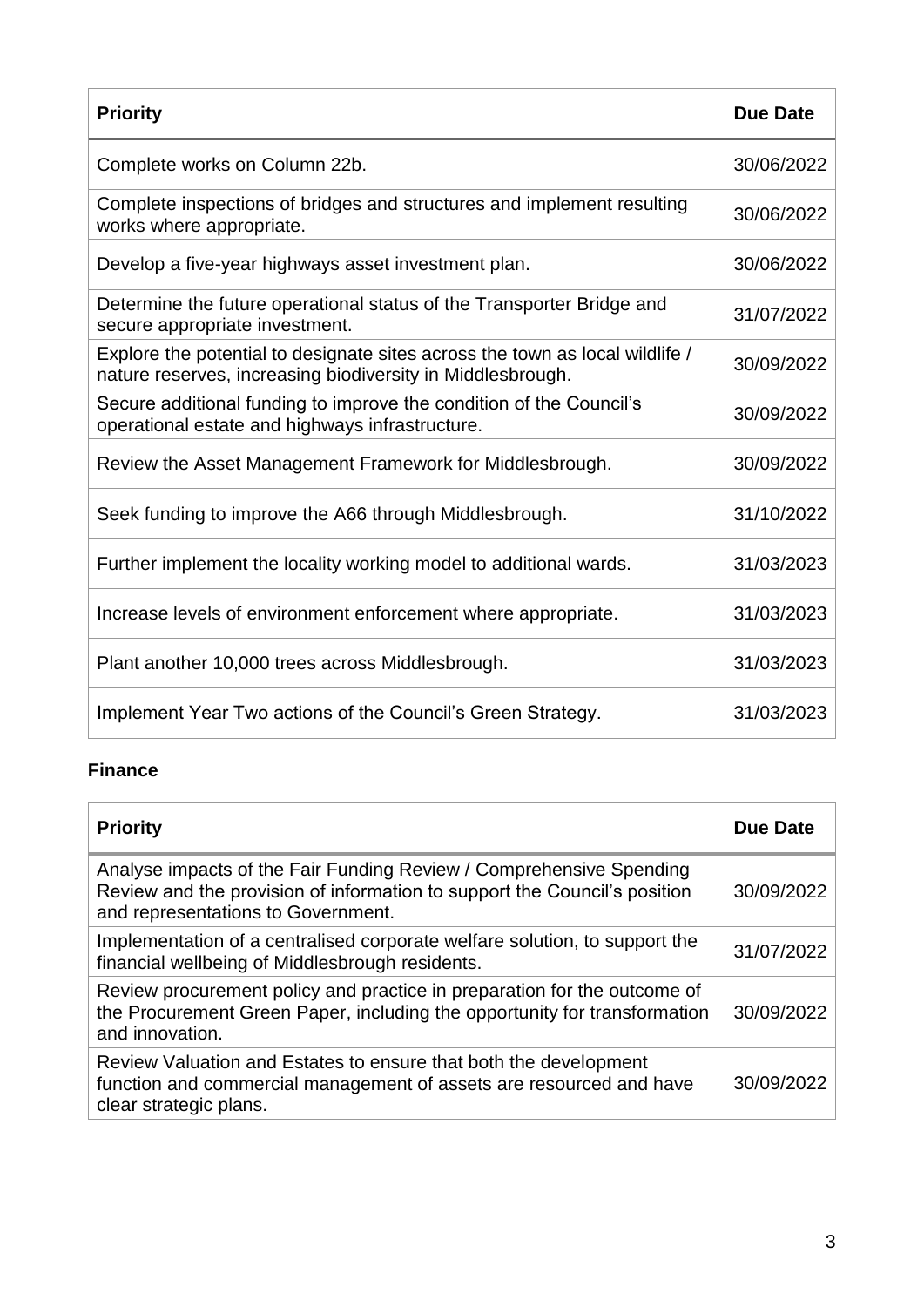| <b>Priority</b>                                                                                                                            | <b>Due Date</b> |
|--------------------------------------------------------------------------------------------------------------------------------------------|-----------------|
| Complete works on Column 22b.                                                                                                              | 30/06/2022      |
| Complete inspections of bridges and structures and implement resulting<br>works where appropriate.                                         | 30/06/2022      |
| Develop a five-year highways asset investment plan.                                                                                        | 30/06/2022      |
| Determine the future operational status of the Transporter Bridge and<br>secure appropriate investment.                                    | 31/07/2022      |
| Explore the potential to designate sites across the town as local wildlife /<br>nature reserves, increasing biodiversity in Middlesbrough. | 30/09/2022      |
| Secure additional funding to improve the condition of the Council's<br>operational estate and highways infrastructure.                     | 30/09/2022      |
| Review the Asset Management Framework for Middlesbrough.                                                                                   | 30/09/2022      |
| Seek funding to improve the A66 through Middlesbrough.                                                                                     | 31/10/2022      |
| Further implement the locality working model to additional wards.                                                                          | 31/03/2023      |
| Increase levels of environment enforcement where appropriate.                                                                              | 31/03/2023      |
| Plant another 10,000 trees across Middlesbrough.                                                                                           | 31/03/2023      |
| Implement Year Two actions of the Council's Green Strategy.                                                                                | 31/03/2023      |

### **Finance**

| <b>Priority</b>                                                                                                                                                                        | <b>Due Date</b> |
|----------------------------------------------------------------------------------------------------------------------------------------------------------------------------------------|-----------------|
| Analyse impacts of the Fair Funding Review / Comprehensive Spending<br>Review and the provision of information to support the Council's position<br>and representations to Government. | 30/09/2022      |
| Implementation of a centralised corporate welfare solution, to support the<br>financial wellbeing of Middlesbrough residents.                                                          | 31/07/2022      |
| Review procurement policy and practice in preparation for the outcome of<br>the Procurement Green Paper, including the opportunity for transformation<br>and innovation.               | 30/09/2022      |
| Review Valuation and Estates to ensure that both the development<br>function and commercial management of assets are resourced and have<br>clear strategic plans.                      | 30/09/2022      |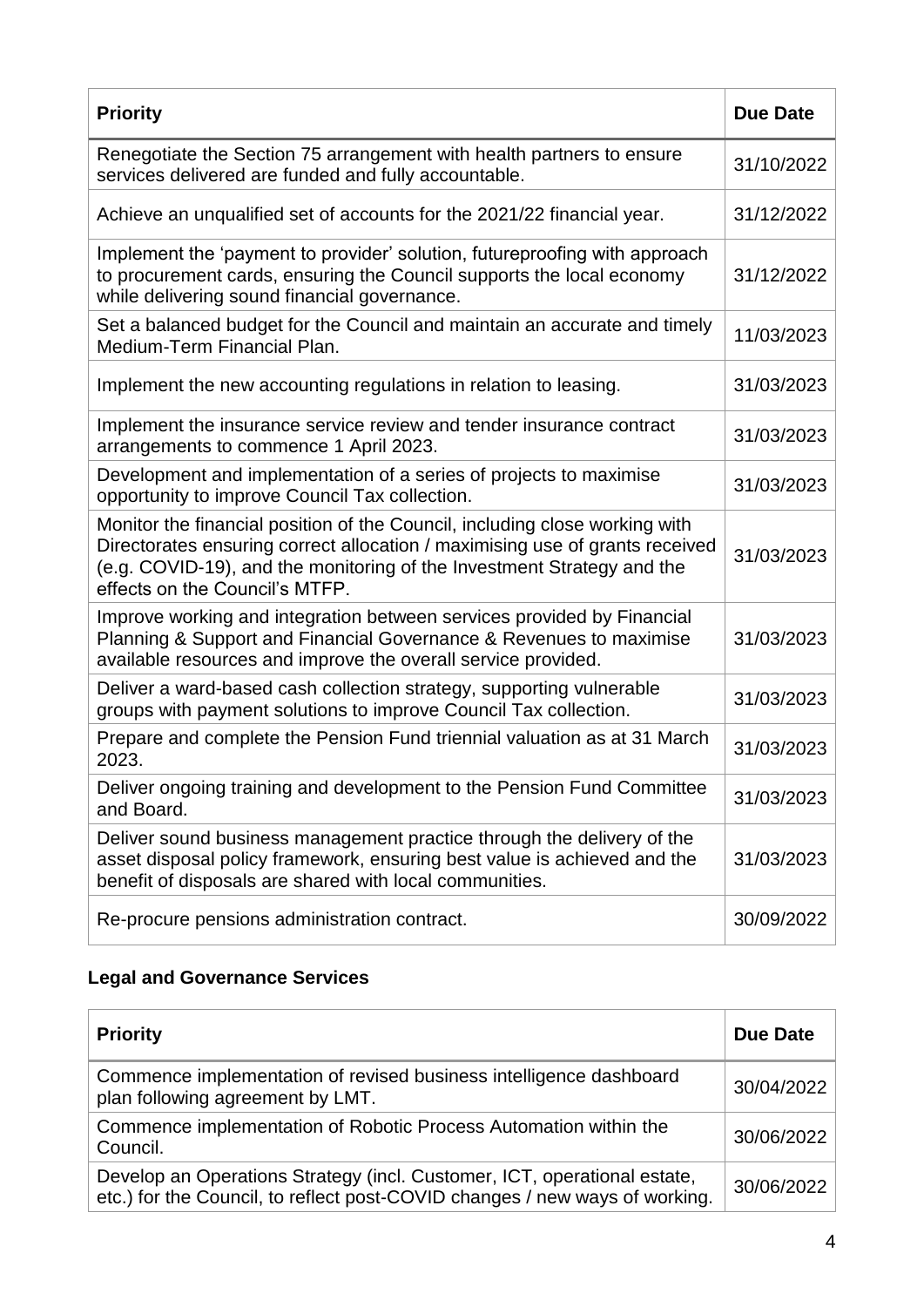| <b>Priority</b>                                                                                                                                                                                                                                                         | <b>Due Date</b> |
|-------------------------------------------------------------------------------------------------------------------------------------------------------------------------------------------------------------------------------------------------------------------------|-----------------|
| Renegotiate the Section 75 arrangement with health partners to ensure<br>services delivered are funded and fully accountable.                                                                                                                                           | 31/10/2022      |
| Achieve an unqualified set of accounts for the 2021/22 financial year.                                                                                                                                                                                                  | 31/12/2022      |
| Implement the 'payment to provider' solution, futureproofing with approach<br>to procurement cards, ensuring the Council supports the local economy<br>while delivering sound financial governance.                                                                     | 31/12/2022      |
| Set a balanced budget for the Council and maintain an accurate and timely<br>Medium-Term Financial Plan.                                                                                                                                                                | 11/03/2023      |
| Implement the new accounting regulations in relation to leasing.                                                                                                                                                                                                        | 31/03/2023      |
| Implement the insurance service review and tender insurance contract<br>arrangements to commence 1 April 2023.                                                                                                                                                          | 31/03/2023      |
| Development and implementation of a series of projects to maximise<br>opportunity to improve Council Tax collection.                                                                                                                                                    | 31/03/2023      |
| Monitor the financial position of the Council, including close working with<br>Directorates ensuring correct allocation / maximising use of grants received<br>(e.g. COVID-19), and the monitoring of the Investment Strategy and the<br>effects on the Council's MTFP. | 31/03/2023      |
| Improve working and integration between services provided by Financial<br>Planning & Support and Financial Governance & Revenues to maximise<br>available resources and improve the overall service provided.                                                           | 31/03/2023      |
| Deliver a ward-based cash collection strategy, supporting vulnerable<br>groups with payment solutions to improve Council Tax collection.                                                                                                                                | 31/03/2023      |
| Prepare and complete the Pension Fund triennial valuation as at 31 March<br>2023.                                                                                                                                                                                       | 31/03/2023      |
| Deliver ongoing training and development to the Pension Fund Committee<br>and Board.                                                                                                                                                                                    | 31/03/2023      |
| Deliver sound business management practice through the delivery of the<br>asset disposal policy framework, ensuring best value is achieved and the<br>benefit of disposals are shared with local communities.                                                           | 31/03/2023      |
| Re-procure pensions administration contract.                                                                                                                                                                                                                            | 30/09/2022      |

## **Legal and Governance Services**

| <b>Priority</b>                                                                                                                                         | <b>Due Date</b> |
|---------------------------------------------------------------------------------------------------------------------------------------------------------|-----------------|
| Commence implementation of revised business intelligence dashboard<br>plan following agreement by LMT.                                                  | 30/04/2022      |
| Commence implementation of Robotic Process Automation within the<br>Council.                                                                            | 30/06/2022      |
| Develop an Operations Strategy (incl. Customer, ICT, operational estate,<br>etc.) for the Council, to reflect post-COVID changes / new ways of working. | 30/06/2022      |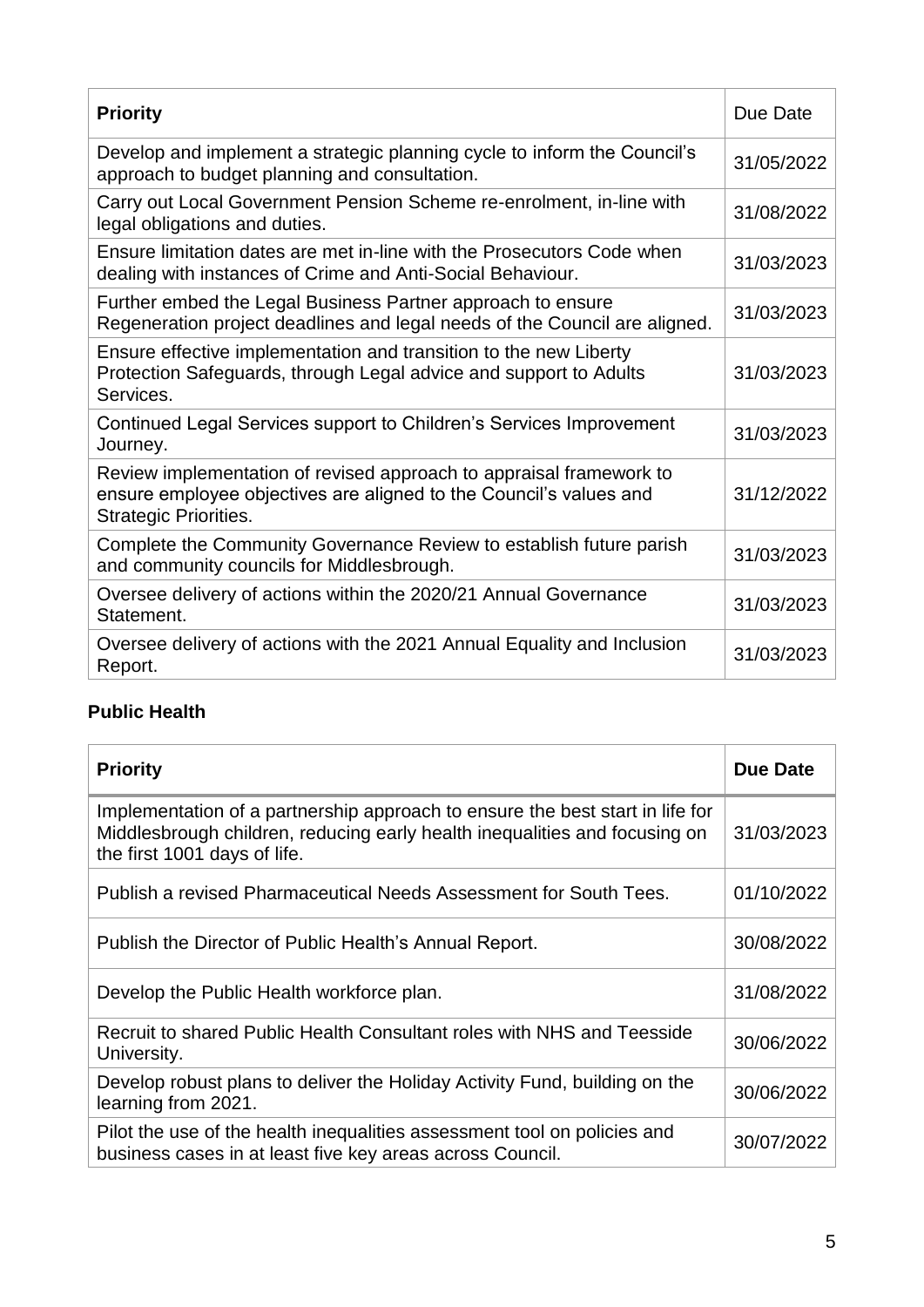| <b>Priority</b>                                                                                                                                                           | Due Date   |
|---------------------------------------------------------------------------------------------------------------------------------------------------------------------------|------------|
| Develop and implement a strategic planning cycle to inform the Council's<br>approach to budget planning and consultation.                                                 | 31/05/2022 |
| Carry out Local Government Pension Scheme re-enrolment, in-line with<br>legal obligations and duties.                                                                     | 31/08/2022 |
| Ensure limitation dates are met in-line with the Prosecutors Code when<br>dealing with instances of Crime and Anti-Social Behaviour.                                      | 31/03/2023 |
| Further embed the Legal Business Partner approach to ensure<br>Regeneration project deadlines and legal needs of the Council are aligned.                                 | 31/03/2023 |
| Ensure effective implementation and transition to the new Liberty<br>Protection Safeguards, through Legal advice and support to Adults<br>Services.                       | 31/03/2023 |
| Continued Legal Services support to Children's Services Improvement<br>Journey.                                                                                           | 31/03/2023 |
| Review implementation of revised approach to appraisal framework to<br>ensure employee objectives are aligned to the Council's values and<br><b>Strategic Priorities.</b> | 31/12/2022 |
| Complete the Community Governance Review to establish future parish<br>and community councils for Middlesbrough.                                                          | 31/03/2023 |
| Oversee delivery of actions within the 2020/21 Annual Governance<br>Statement.                                                                                            | 31/03/2023 |
| Oversee delivery of actions with the 2021 Annual Equality and Inclusion<br>Report.                                                                                        | 31/03/2023 |

## **Public Health**

| <b>Priority</b>                                                                                                                                                                             | Due Date   |
|---------------------------------------------------------------------------------------------------------------------------------------------------------------------------------------------|------------|
| Implementation of a partnership approach to ensure the best start in life for<br>Middlesbrough children, reducing early health inequalities and focusing on<br>the first 1001 days of life. | 31/03/2023 |
| Publish a revised Pharmaceutical Needs Assessment for South Tees.                                                                                                                           | 01/10/2022 |
| Publish the Director of Public Health's Annual Report.                                                                                                                                      | 30/08/2022 |
| Develop the Public Health workforce plan.                                                                                                                                                   | 31/08/2022 |
| Recruit to shared Public Health Consultant roles with NHS and Teesside<br>University.                                                                                                       | 30/06/2022 |
| Develop robust plans to deliver the Holiday Activity Fund, building on the<br>learning from 2021.                                                                                           | 30/06/2022 |
| Pilot the use of the health inequalities assessment tool on policies and<br>business cases in at least five key areas across Council.                                                       | 30/07/2022 |